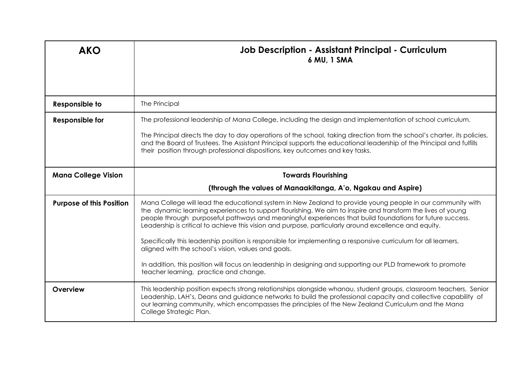| <b>AKO</b>                      | <b>Job Description - Assistant Principal - Curriculum</b><br>6 MU, 1 SMA                                                                                                                                                                                                                                                                                                                                                                                                                                                                                                                                                                                                                                                                                                           |  |
|---------------------------------|------------------------------------------------------------------------------------------------------------------------------------------------------------------------------------------------------------------------------------------------------------------------------------------------------------------------------------------------------------------------------------------------------------------------------------------------------------------------------------------------------------------------------------------------------------------------------------------------------------------------------------------------------------------------------------------------------------------------------------------------------------------------------------|--|
| <b>Responsible to</b>           | The Principal                                                                                                                                                                                                                                                                                                                                                                                                                                                                                                                                                                                                                                                                                                                                                                      |  |
| <b>Responsible for</b>          | The professional leadership of Mana College, including the design and implementation of school curriculum.<br>The Principal directs the day to day operations of the school, taking direction from the school's charter, its policies,<br>and the Board of Trustees. The Assistant Principal supports the educational leadership of the Principal and fulfills<br>their position through professional dispositions, key outcomes and key tasks.                                                                                                                                                                                                                                                                                                                                    |  |
| <b>Mana College Vision</b>      | <b>Towards Flourishing</b>                                                                                                                                                                                                                                                                                                                                                                                                                                                                                                                                                                                                                                                                                                                                                         |  |
|                                 | (through the values of Manaakitanga, A'o, Ngakau and Aspire)                                                                                                                                                                                                                                                                                                                                                                                                                                                                                                                                                                                                                                                                                                                       |  |
| <b>Purpose of this Position</b> | Mana College will lead the educational system in New Zealand to provide young people in our community with<br>the dynamic learning experiences to support flourishing. We aim to inspire and transform the lives of young<br>people through purposeful pathways and meaningful experiences that build foundations for future success.<br>Leadership is critical to achieve this vision and purpose, particularly around excellence and equity.<br>Specifically this leadership position is responsible for implementing a responsive curriculum for all learners,<br>aligned with the school's vision, values and goals.<br>In addition, this position will focus on leadership in designing and supporting our PLD framework to promote<br>teacher learning, practice and change. |  |
| Overview                        | This leadership position expects strong relationships alongside whanau, student groups, classroom teachers, Senior<br>Leadership, LAH's, Deans and guidance networks to build the professional capacity and collective capability of<br>our learning community, which encompasses the principles of the New Zealand Curriculum and the Mana<br>College Strategic Plan.                                                                                                                                                                                                                                                                                                                                                                                                             |  |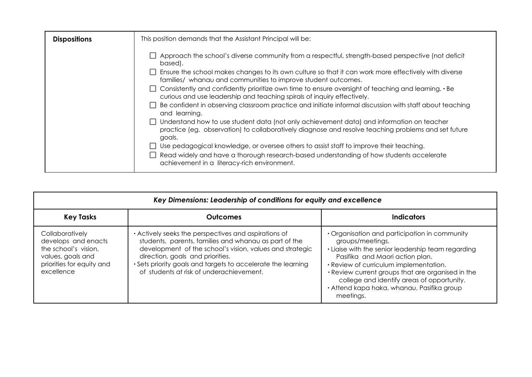| <b>Dispositions</b> | This position demands that the Assistant Principal will be:                                                                                                                                                                                                                                                                                                                                                                                                                                                                                                                                                                                                                                                                                                                                                                                                                                                                                                                                                                                                                        |
|---------------------|------------------------------------------------------------------------------------------------------------------------------------------------------------------------------------------------------------------------------------------------------------------------------------------------------------------------------------------------------------------------------------------------------------------------------------------------------------------------------------------------------------------------------------------------------------------------------------------------------------------------------------------------------------------------------------------------------------------------------------------------------------------------------------------------------------------------------------------------------------------------------------------------------------------------------------------------------------------------------------------------------------------------------------------------------------------------------------|
|                     | $\Box$ Approach the school's diverse community from a respectful, strength-based perspective (not deficit<br>based).<br>$\Box$ Ensure the school makes changes to its own culture so that it can work more effectively with diverse<br>families/ whanau and communities to improve student outcomes.<br>$\Box$ Consistently and confidently prioritize own time to ensure oversight of teaching and learning. $\cdot$ Be<br>curious and use leadership and teaching spirals of inquiry effectively.<br>Be confident in observing classroom practice and initiate informal discussion with staff about teaching<br>and learning.<br>Understand how to use student data (not only achievement data) and information on teacher<br>practice (eg. observation) to collaboratively diagnose and resolve teaching problems and set future<br>goals.<br>Use pedagogical knowledge, or oversee others to assist staff to improve their teaching.<br>Read widely and have a thorough research-based understanding of how students accelerate<br>achievement in a literacy-rich environment. |

| Key Dimensions: Leadership of conditions for equity and excellence                                                             |                                                                                                                                                                                                                                                                                                                           |                                                                                                                                                                                                                                                                                                                                                                    |
|--------------------------------------------------------------------------------------------------------------------------------|---------------------------------------------------------------------------------------------------------------------------------------------------------------------------------------------------------------------------------------------------------------------------------------------------------------------------|--------------------------------------------------------------------------------------------------------------------------------------------------------------------------------------------------------------------------------------------------------------------------------------------------------------------------------------------------------------------|
| <b>Key Tasks</b>                                                                                                               | <b>Outcomes</b>                                                                                                                                                                                                                                                                                                           | <b>Indicators</b>                                                                                                                                                                                                                                                                                                                                                  |
| Collaboratively<br>develops and enacts<br>the school's vision,<br>values, goals and<br>priorities for equity and<br>excellence | • Actively seeks the perspectives and aspirations of<br>students, parents, families and whanau as part of the<br>development of the school's vision, values and strategic<br>direction, goals and priorities.<br>• Sets priority goals and targets to accelerate the learning<br>of students at risk of underachievement. | • Organisation and participation in community<br>groups/meetings.<br>. Liaise with the senior leadership team regarding<br>Pasifika and Maori action plan.<br>· Review of curriculum implementation.<br>• Review current groups that are organised in the<br>college and identify areas of opportunity.<br>· Attend kapa haka, whanau, Pasifika group<br>meetings. |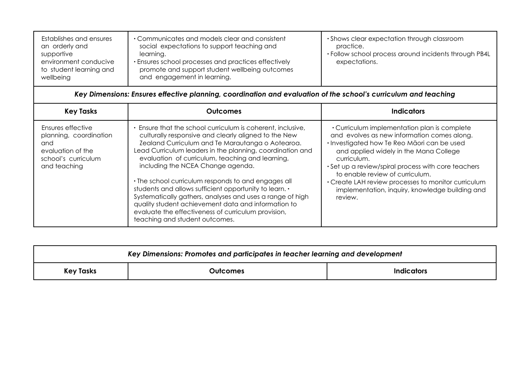| Establishes and ensures<br>an orderly and<br>supportive<br>environment conducive<br>to student learning and<br>wellbeing | • Communicates and models clear and consistent<br>social expectations to support teaching and<br>learning.<br>• Ensures school processes and practices effectively<br>promote and support student wellbeing outcomes<br>and engagement in learning. | • Shows clear expectation through classroom<br>practice.<br>• Follow school process around incidents through PB4L<br>expectations. |
|--------------------------------------------------------------------------------------------------------------------------|-----------------------------------------------------------------------------------------------------------------------------------------------------------------------------------------------------------------------------------------------------|------------------------------------------------------------------------------------------------------------------------------------|
|--------------------------------------------------------------------------------------------------------------------------|-----------------------------------------------------------------------------------------------------------------------------------------------------------------------------------------------------------------------------------------------------|------------------------------------------------------------------------------------------------------------------------------------|

## *Key Dimensions: Ensures effective planning, coordination and evaluation of the school's curriculum and teaching*

| <b>Key Tasks</b>                                                                                               | Outcomes                                                                                                                                                                                                                                                                                                                                                                                                                                                                                                                                                                                                                                                    | Indicators                                                                                                                                                                                                                                                                                                                                                                                                         |
|----------------------------------------------------------------------------------------------------------------|-------------------------------------------------------------------------------------------------------------------------------------------------------------------------------------------------------------------------------------------------------------------------------------------------------------------------------------------------------------------------------------------------------------------------------------------------------------------------------------------------------------------------------------------------------------------------------------------------------------------------------------------------------------|--------------------------------------------------------------------------------------------------------------------------------------------------------------------------------------------------------------------------------------------------------------------------------------------------------------------------------------------------------------------------------------------------------------------|
| Ensures effective<br>planning, coordination<br>and<br>evaluation of the<br>school's curriculum<br>and teaching | . Ensure that the school curriculum is coherent, inclusive,<br>culturally responsive and clearly aligned to the New<br>Zealand Curriculum and Te Marautanga o Aotearoa.<br>Lead Curriculum leaders in the planning, coordination and<br>evaluation of curriculum, teaching and learning,<br>including the NCEA Change agenda.<br>• The school curriculum responds to and engages all<br>students and allows sufficient opportunity to learn. •<br>Systematically gathers, analyses and uses a range of high<br>quality student achievement data and information to<br>evaluate the effectiveness of curriculum provision,<br>teaching and student outcomes. | • Curriculum implementation plan is complete<br>and evolves as new information comes along.<br>· Investigated how Te Reo Māori can be used<br>and applied widely in the Mana College<br>curriculum.<br>• Set up a review/spiral process with core teachers<br>to enable review of curriculum.<br>• Create LAH review processes to monitor curriculum<br>implementation, inquiry, knowledge building and<br>review. |

| Key Dimensions: Promotes and participates in teacher learning and development |          |            |
|-------------------------------------------------------------------------------|----------|------------|
| <b>Key Tasks</b>                                                              | Outcomes | Indicators |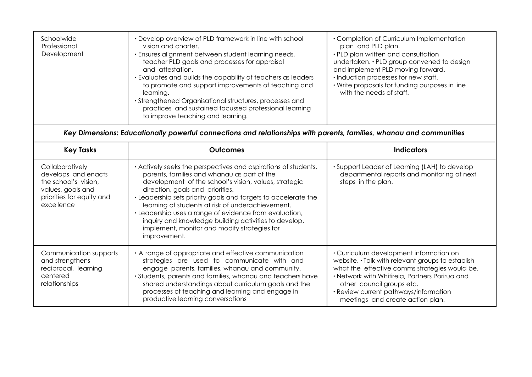| Schoolwide<br>Professional<br>Development | • Develop overview of PLD framework in line with school<br>vision and charter.<br>· Ensures alignment between student learning needs,<br>teacher PLD goals and processes for appraisal<br>and attestation.<br>. Evaluates and builds the capability of teachers as leaders<br>to promote and support improvements of teaching and<br>learning.<br>• Strengthened Organisational structures, processes and<br>practices and sustained focussed professional learning<br>to improve teaching and learning. | • Completion of Curriculum Implementation<br>plan and PLD plan.<br>• PLD plan written and consultation<br>undertaken. • PLD group convened to design<br>and implement PLD moving forward.<br>· Induction processes for new staff.<br>• Write proposals for funding purposes in line<br>with the needs of staff. |
|-------------------------------------------|----------------------------------------------------------------------------------------------------------------------------------------------------------------------------------------------------------------------------------------------------------------------------------------------------------------------------------------------------------------------------------------------------------------------------------------------------------------------------------------------------------|-----------------------------------------------------------------------------------------------------------------------------------------------------------------------------------------------------------------------------------------------------------------------------------------------------------------|
|-------------------------------------------|----------------------------------------------------------------------------------------------------------------------------------------------------------------------------------------------------------------------------------------------------------------------------------------------------------------------------------------------------------------------------------------------------------------------------------------------------------------------------------------------------------|-----------------------------------------------------------------------------------------------------------------------------------------------------------------------------------------------------------------------------------------------------------------------------------------------------------------|

## *Key Dimensions: Educationally powerful connections and relationships with parents, families, whanau and communities*

| <b>Key Tasks</b>                                                                                                               | <b>Outcomes</b>                                                                                                                                                                                                                                                                                                                                                                                                                                                                                                      | <b>Indicators</b>                                                                                                                                                                                                                                                                                         |
|--------------------------------------------------------------------------------------------------------------------------------|----------------------------------------------------------------------------------------------------------------------------------------------------------------------------------------------------------------------------------------------------------------------------------------------------------------------------------------------------------------------------------------------------------------------------------------------------------------------------------------------------------------------|-----------------------------------------------------------------------------------------------------------------------------------------------------------------------------------------------------------------------------------------------------------------------------------------------------------|
| Collaboratively<br>develops and enacts<br>the school's vision,<br>values, goals and<br>priorities for equity and<br>excellence | • Actively seeks the perspectives and aspirations of students,<br>parents, families and whanau as part of the<br>development of the school's vision, values, strategic<br>direction, goals and priorities.<br>. Leadership sets priority goals and targets to accelerate the<br>learning of students at risk of underachievement.<br>· Leadership uses a range of evidence from evaluation,<br>inquiry and knowledge building activities to develop,<br>implement, monitor and modify strategies for<br>improvement. | • Support Leader of Learning (LAH) to develop<br>departmental reports and monitoring of next<br>steps in the plan.                                                                                                                                                                                        |
| Communication supports<br>and strengthens<br>reciprocal, learning<br>centered<br>relationships                                 | A range of appropriate and effective communication<br>strategies are used to communicate with and<br>engage parents, families, whanau and community.<br>· Students, parents and families, whanau and teachers have<br>shared understandings about curriculum goals and the<br>processes of teaching and learning and engage in<br>productive learning conversations                                                                                                                                                  | • Curriculum development information on<br>website. • Talk with relevant groups to establish<br>what the effective comms strategies would be.<br>· Network with Whitireia, Partners Porirua and<br>other council groups etc.<br>· Review current pathways/information<br>meetings and create action plan. |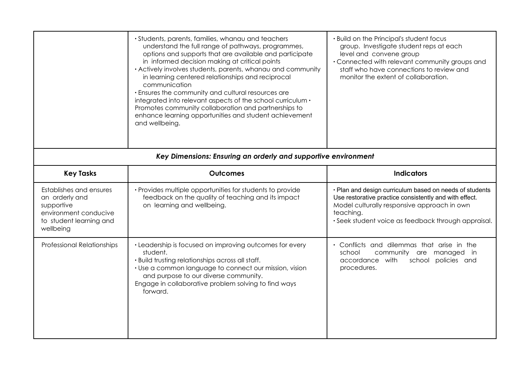|                                                                                                                          | · Students, parents, families, whanau and teachers<br>understand the full range of pathways, programmes,<br>options and supports that are available and participate<br>in informed decision making at critical points<br>· Actively involves students, parents, whanau and community<br>in learning centered relationships and reciprocal<br>communication<br>. Ensures the community and cultural resources are<br>integrated into relevant aspects of the school curriculum .<br>Promotes community collaboration and partnerships to<br>enhance learning opportunities and student achievement<br>and wellbeing.<br>Key Dimensions: Ensuring an orderly and supportive environment | . Build on the Principal's student focus<br>group. Investigate student reps at each<br>level and convene group<br>• Connected with relevant community groups and<br>staff who have connections to review and<br>monitor the extent of collaboration. |
|--------------------------------------------------------------------------------------------------------------------------|---------------------------------------------------------------------------------------------------------------------------------------------------------------------------------------------------------------------------------------------------------------------------------------------------------------------------------------------------------------------------------------------------------------------------------------------------------------------------------------------------------------------------------------------------------------------------------------------------------------------------------------------------------------------------------------|------------------------------------------------------------------------------------------------------------------------------------------------------------------------------------------------------------------------------------------------------|
| <b>Key Tasks</b>                                                                                                         | <b>Outcomes</b>                                                                                                                                                                                                                                                                                                                                                                                                                                                                                                                                                                                                                                                                       | <b>Indicators</b>                                                                                                                                                                                                                                    |
| Establishes and ensures<br>an orderly and<br>supportive<br>environment conducive<br>to student learning and<br>wellbeing | • Provides multiple opportunities for students to provide<br>feedback on the quality of teaching and its impact<br>on learning and wellbeing.                                                                                                                                                                                                                                                                                                                                                                                                                                                                                                                                         | · Plan and design curriculum based on needs of students<br>Use restorative practice consistently and with effect.<br>Model culturally responsive approach in own<br>teaching.<br>· Seek student voice as feedback through appraisal.                 |
| <b>Professional Relationships</b>                                                                                        | • Leadership is focused on improving outcomes for every<br>student.<br>. Build trusting relationships across all staff.<br>• Use a common language to connect our mission, vision<br>and purpose to our diverse community.<br>Engage in collaborative problem solving to find ways<br>forward.                                                                                                                                                                                                                                                                                                                                                                                        | Conflicts and dilemmas that arise in the<br>community are managed in<br>school<br>accordance with<br>policies and<br>school<br>procedures.                                                                                                           |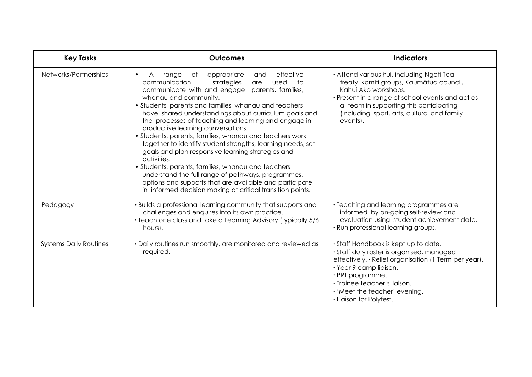| <b>Key Tasks</b>              | <b>Outcomes</b>                                                                                                                                                                                                                                                                                                                                                                                                                                                                                                                                                                                                                                                                                                                                                                                                                                               | <b>Indicators</b>                                                                                                                                                                                                                                                                    |
|-------------------------------|---------------------------------------------------------------------------------------------------------------------------------------------------------------------------------------------------------------------------------------------------------------------------------------------------------------------------------------------------------------------------------------------------------------------------------------------------------------------------------------------------------------------------------------------------------------------------------------------------------------------------------------------------------------------------------------------------------------------------------------------------------------------------------------------------------------------------------------------------------------|--------------------------------------------------------------------------------------------------------------------------------------------------------------------------------------------------------------------------------------------------------------------------------------|
| Networks/Partnerships         | effective<br>appropriate<br>range<br>of<br>and<br>$\mathsf{A}$<br>$\bullet$<br>strategies<br>communication<br>used<br>to<br>are<br>communicate with and engage parents, families,<br>whanau and community.<br>• Students, parents and families, whanau and teachers<br>have shared understandings about curriculum goals and<br>the processes of teaching and learning and engage in<br>productive learning conversations.<br>• Students, parents, families, whanau and teachers work<br>together to identify student strengths, learning needs, set<br>goals and plan responsive learning strategies and<br>activities.<br>• Students, parents, families, whanau and teachers<br>understand the full range of pathways, programmes,<br>options and supports that are available and participate<br>in informed decision making at critical transition points. | · Attend various hui, including Ngati Toa<br>treaty komiti groups, Kaumātua council,<br>Kahui Ako workshops.<br>• Present in a range of school events and act as<br>a team in supporting this participating<br>(including sport, arts, cultural and family<br>events).               |
| Pedagogy                      | . Builds a professional learning community that supports and<br>challenges and enquires into its own practice.<br>• Teach one class and take a Learning Advisory (typically 5/6<br>hours).                                                                                                                                                                                                                                                                                                                                                                                                                                                                                                                                                                                                                                                                    | • Teaching and learning programmes are<br>informed by on-going self-review and<br>evaluation using student achievement data.<br>· Run professional learning groups.                                                                                                                  |
| <b>Systems Daily Routines</b> | • Daily routines run smoothly, are monitored and reviewed as<br>required.                                                                                                                                                                                                                                                                                                                                                                                                                                                                                                                                                                                                                                                                                                                                                                                     | • Staff Handbook is kept up to date.<br>· Staff duty roster is organised, managed<br>effectively. · Relief organisation (1 Term per year).<br>· Year 9 camp liaison.<br>· PRT programme.<br>· Trainee teacher's liaison.<br>• 'Meet the teacher' evening.<br>• Liaison for Polyfest. |